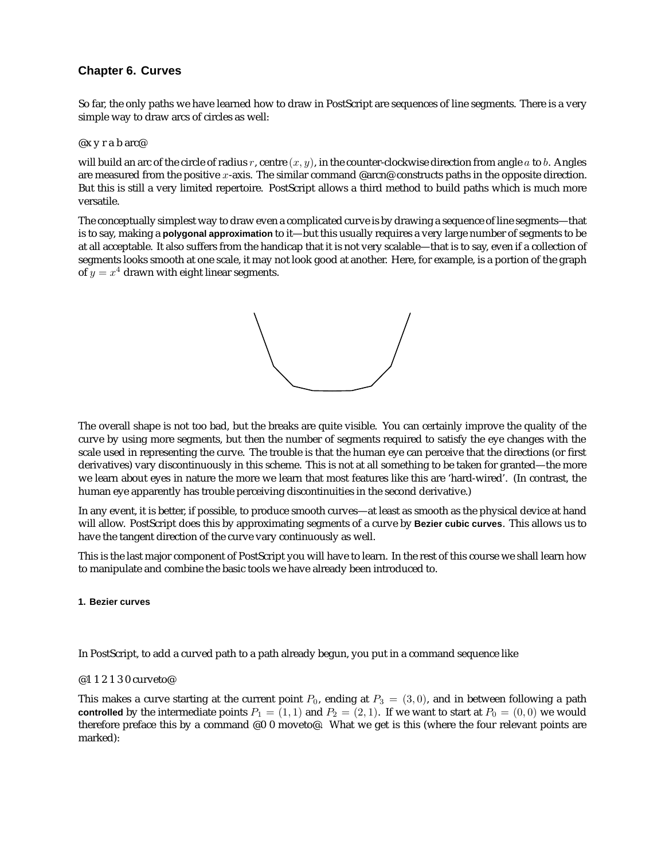# **Chapter 6. Curves**

So far, the only paths we have learned how to draw in PostScript are sequences of line segments. There is a very simple way to draw arcs of circles as well:

@x y r a b arc@

will build an arc of the circle of radius r, centre  $(x, y)$ , in the counter-clockwise direction from angle a to b. Angles are measured from the positive x-axis. The similar command @arcn@ constructs paths in the opposite direction. But this is still a very limited repertoire. PostScript allows a third method to build paths which is much more versatile.

The conceptually simplest way to draw even a complicated curve is by drawing a sequence of line segments—that is to say, making a **polygonal approximation** to it—but this usually requires a very large number of segments to be at all acceptable. It also suffers from the handicap that it is not very scalable—that is to say, even if a collection of segments looks smooth at one scale, it may not look good at another. Here, for example, is a portion of the graph of  $y = x^4$  drawn with eight linear segments.



The overall shape is not too bad, but the breaks are quite visible. You can certainly improve the quality of the curve by using more segments, but then the number of segments required to satisfy the eye changes with the scale used in representing the curve. The trouble is that the human eye can perceive that the directions (or first derivatives) vary discontinuously in this scheme. This is not at all something to be taken for granted—the more we learn about eyes in nature the more we learn that most features like this are 'hard-wired'. (In contrast, the human eye apparently has trouble perceiving discontinuities in the second derivative.)

In any event, it is better, if possible, to produce smooth curves—at least as smooth as the physical device at hand will allow. PostScript does this by approximating segments of a curve by **Bezier cubic curves**. This allows us to have the tangent direction of the curve vary continuously as well.

This is the last major component of PostScript you will have to learn. In the rest of this course we shall learn how to manipulate and combine the basic tools we have already been introduced to.

# **1. Bezier curves**

In PostScript, to add a curved path to a path already begun, you put in a command sequence like

# @1 1 2 1 3 0 curveto@

This makes a curve starting at the current point  $P_0$ , ending at  $P_3 = (3, 0)$ , and in between following a path **controlled** by the intermediate points  $P_1 = (1, 1)$  and  $P_2 = (2, 1)$ . If we want to start at  $P_0 = (0, 0)$  we would therefore preface this by a command  $@0$  0 moveto $@$ . What we get is this (where the four relevant points are marked):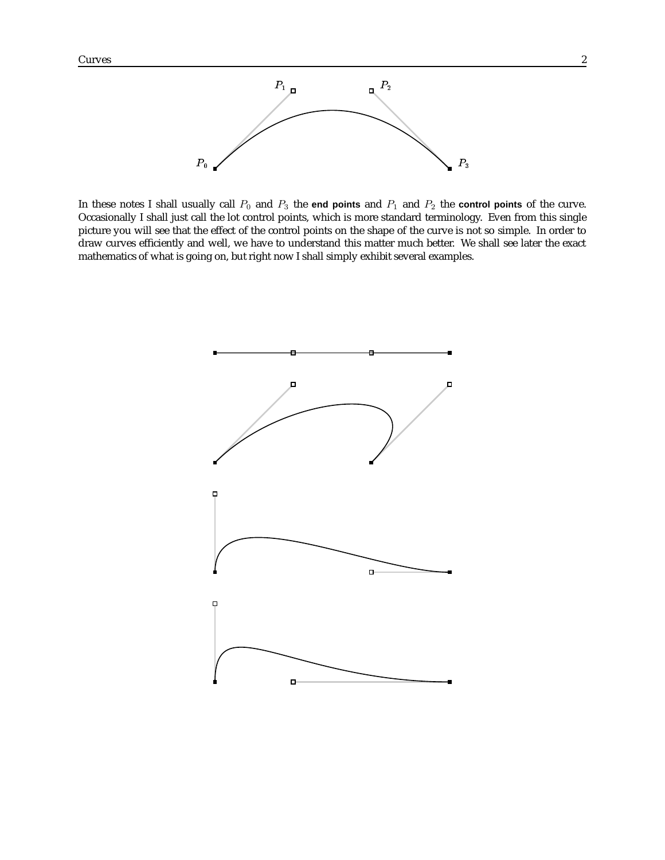

In these notes I shall usually call  $P_0$  and  $P_3$  the **end points** and  $P_1$  and  $P_2$  the **control points** of the curve. Occasionally I shall just call the lot control points, which is more standard terminology. Even from this single picture you will see that the effect of the control points on the shape of the curve is not so simple. In order to draw curves efficiently and well, we have to understand this matter much better. We shall see later the exact mathematics of what is going on, but right now I shall simply exhibit several examples.

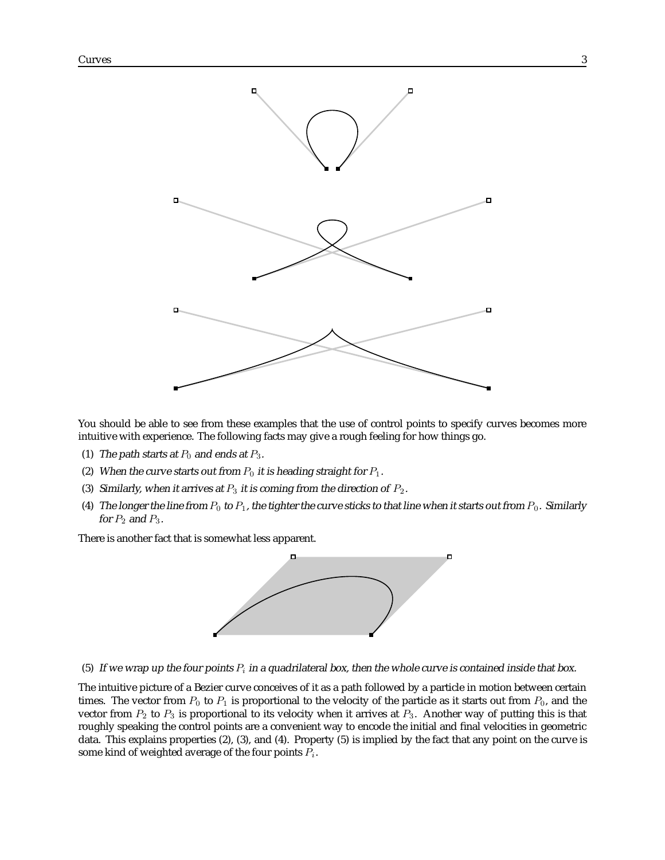

You should be able to see from these examples that the use of control points to specify curves becomes more intuitive with experience. The following facts may give a rough feeling for how things go.

- (1) The path starts at  $P_0$  and ends at  $P_3$ .
- (2) When the curve starts out from  $P_0$  it is heading straight for  $P_1$ .
- (3) Similarly, when it arrives at  $P_3$  it is coming from the direction of  $P_2$ .
- (4) The longer the line from  $P_0$  to  $P_1$ , the tighter the curve sticks to that line when it starts out from  $P_0$ . Similarly for  $P_2$  and  $P_3$ .

There is another fact that is somewhat less apparent.



(5) If we wrap up the four points  $P_i$  in a quadrilateral box, then the whole curve is contained inside that box.

The intuitive picture of a Bezier curve conceives of it as a path followed by a particle in motion between certain times. The vector from  $P_0$  to  $P_1$  is proportional to the velocity of the particle as it starts out from  $P_0$ , and the vector from  $P_2$  to  $P_3$  is proportional to its velocity when it arrives at  $P_3$ . Another way of putting this is that roughly speaking the control points are a convenient way to encode the initial and final velocities in geometric data. This explains properties (2), (3), and (4). Property (5) is implied by the fact that any point on the curve is some kind of weighted average of the four points  $P_i$ .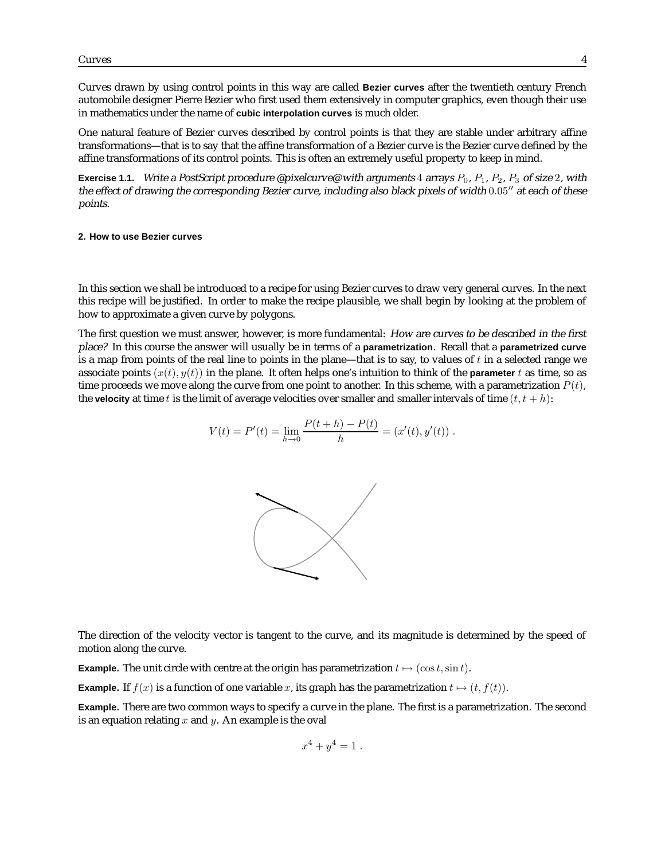Curves drawn by using control points in this way are called **Bezier curves** after the twentieth century French automobile designer Pierre Bezier who first used them extensively in computer graphics, even though their use in mathematics under the name of **cubic interpolation curves** is much older.

One natural feature of Bezier curves described by control points is that they are stable under arbitrary affine transformations—that is to say that the affine transformation of a Bezier curve is the Bezier curve defined by the affine transformations of its control points. This is often an extremely useful property to keep in mind.

**Exercise 1.1.** Write a PostScript procedure @pixelcurve@ with arguments 4 arrays  $P_0$ ,  $P_1$ ,  $P_2$ ,  $P_3$  of size 2, with the effect of drawing the corresponding Bezier curve, including also black pixels of width  $0.05$ " at each of these points.

#### **2. How to use Bezier curves**

In this section we shall be introduced to a recipe for using Bezier curves to draw very general curves. In the next this recipe will be justified. In order to make the recipe plausible, we shall begin by looking at the problem of how to approximate a given curve by polygons.

The first question we must answer, however, is more fundamental: How are curves to be described in the first place? In this course the answer will usually be in terms of a **parametrization**. Recall that a **parametrized curve** is a map from points of the real line to points in the plane—that is to say, to values of  $t$  in a selected range we associate points  $(x(t), y(t))$  in the plane. It often helps one's intuition to think of the **parameter** t as time, so as time proceeds we move along the curve from one point to another. In this scheme, with a parametrization  $P(t)$ , the **velocity** at time t is the limit of average velocities over smaller and smaller intervals of time  $(t, t + h)$ :

$$
V(t) = P'(t) = \lim_{h \to 0} \frac{P(t+h) - P(t)}{h} = (x'(t), y'(t)).
$$



The direction of the velocity vector is tangent to the curve, and its magnitude is determined by the speed of motion along the curve.

**Example.** The unit circle with centre at the origin has parametrization  $t \mapsto (\cos t, \sin t)$ .

**Example.** If  $f(x)$  is a function of one variable x, its graph has the parametrization  $t \mapsto (t, f(t))$ .

**Example.** There are two common ways to specify a curve in the plane. The first is a parametrization. The second is an equation relating  $x$  and  $y$ . An example is the oval

$$
x^4 + y^4 = 1
$$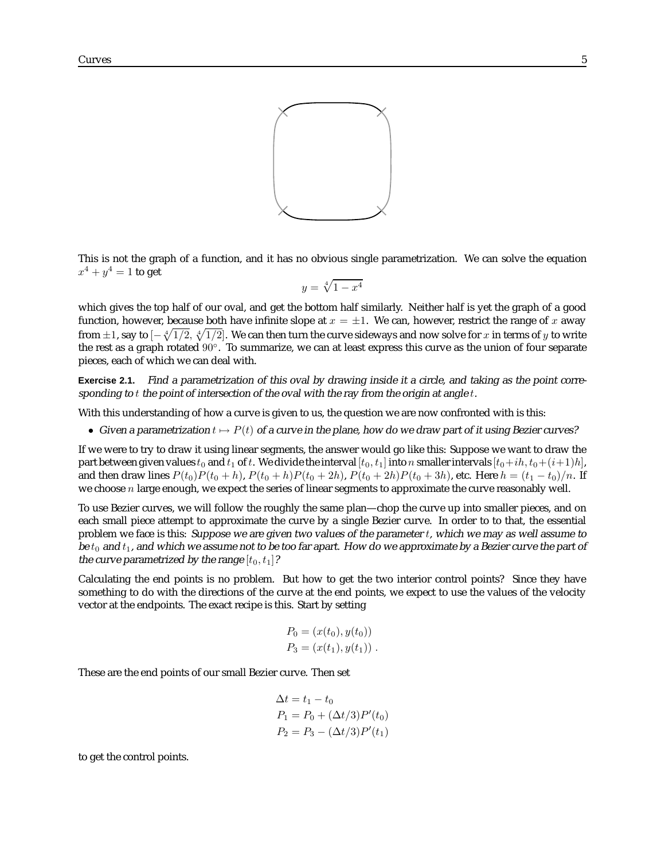

This is not the graph of a function, and it has no obvious single parametrization. We can solve the equation  $x^4 + y^4 = 1$  to get

$$
y = \sqrt[4]{1 - x^4}
$$

which gives the top half of our oval, and get the bottom half similarly. Neither half is yet the graph of a good function, however, because both have infinite slope at  $x = \pm 1$ . We can, however, restrict the range of x away from  $\pm 1$ , say to  $[-\sqrt[4]{1/2},\sqrt[4]{1/2}]$ . We can then turn the curve sideways and now solve for  $x$  in terms of  $y$  to write the rest as a graph rotated 90◦. To summarize, we can at least express this curve as the union of four separate pieces, each of which we can deal with.

**Exercise 2.1.** Find <sup>a</sup> parametrization of this oval by drawing inside it <sup>a</sup> circle, and taking as the point corresponding to  $t$  the point of intersection of the oval with the ray from the origin at angle  $t$ .

With this understanding of how a curve is given to us, the question we are now confronted with is this:

• Given a parametrization  $t \mapsto P(t)$  of a curve in the plane, how do we draw part of it using Bezier curves?

If we were to try to draw it using linear segments, the answer would go like this: Suppose we want to draw the part between given values  $t_0$  and  $t_1$  of t. We divide the interval  $[t_0, t_1]$  into n smaller intervals  $[t_0+ih, t_0+(i+1)h]$ , and then draw lines  $P(t_0)P(t_0 + h)$ ,  $P(t_0 + h)P(t_0 + 2h)$ ,  $P(t_0 + 2h)P(t_0 + 3h)$ , etc. Here  $h = (t_1 - t_0)/n$ . If we choose  $n$  large enough, we expect the series of linear segments to approximate the curve reasonably well.

To use Bezier curves, we will follow the roughly the same plan—chop the curve up into smaller pieces, and on each small piece attempt to approximate the curve by a single Bezier curve. In order to to that, the essential problem we face is this: Suppose we are given two values of the parameter t, which we may as well assume to be  $t_0$  and  $t_1$ , and which we assume not to be too far apart. How do we approximate by a Bezier curve the part of the curve parametrized by the range  $[t_0, t_1]$ ?

Calculating the end points is no problem. But how to get the two interior control points? Since they have something to do with the directions of the curve at the end points, we expect to use the values of the velocity vector at the endpoints. The exact recipe is this. Start by setting

$$
P_0 = (x(t_0), y(t_0))
$$
  

$$
P_3 = (x(t_1), y(t_1))
$$
.

These are the end points of our small Bezier curve. Then set

$$
\Delta t = t_1 - t_0
$$
  
\n
$$
P_1 = P_0 + (\Delta t/3)P'(t_0)
$$
  
\n
$$
P_2 = P_3 - (\Delta t/3)P'(t_1)
$$

to get the control points.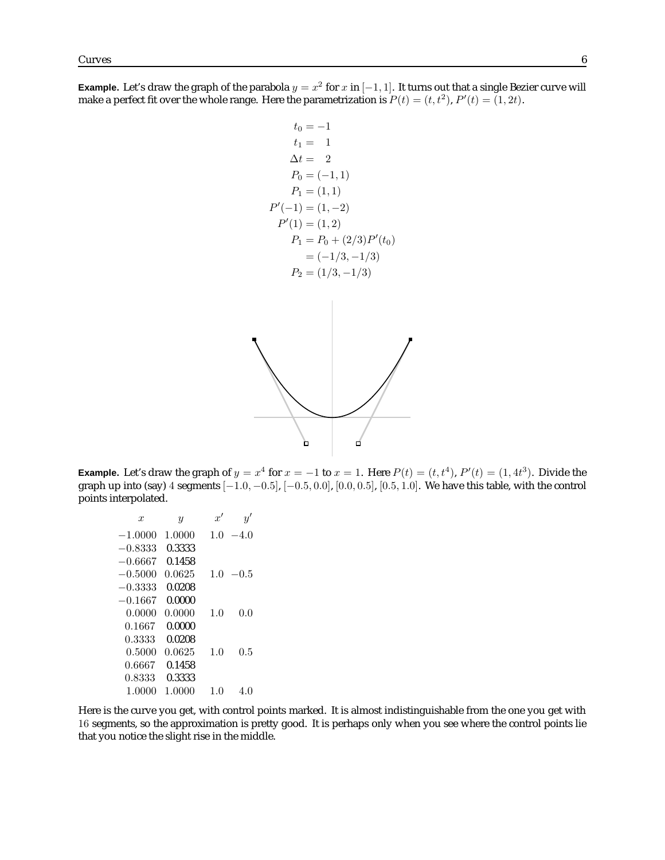**Example.** Let's draw the graph of the parabola  $y = x^2$  for x in  $[-1, 1]$ . It turns out that a single Bezier curve will make a perfect fit over the whole range. Here the parametrization is  $P(t) = (t, t^2), P'(t) = (1, 2t)$ .

$$
t_0 = -1
$$
  
\n
$$
t_1 = 1
$$
  
\n
$$
\Delta t = 2
$$
  
\n
$$
P_0 = (-1, 1)
$$
  
\n
$$
P_1 = (1, 1)
$$
  
\n
$$
P'(-1) = (1, -2)
$$
  
\n
$$
P'(1) = (1, 2)
$$
  
\n
$$
P_1 = P_0 + (2/3)P'(t_0)
$$
  
\n
$$
= (-1/3, -1/3)
$$
  
\n
$$
P_2 = (1/3, -1/3)
$$

**Example.** Let's draw the graph of  $y = x^4$  for  $x = -1$  to  $x = 1$ . Here  $P(t) = (t, t^4)$ ,  $P'(t) = (1, 4t^3)$ . Divide the graph up into (say) 4 segments  $[-1.0, -0.5]$ ,  $[-0.5, 0.0]$ ,  $[0.0, 0.5]$ ,  $[0.5, 1.0]$ . We have this table, with the control points interpolated.

```
x y x' y'
−1.0000 1.0000 1.0 −4.0
−0.8333 0.3333
−0.6667 0.1458
-0.5000 0.0625 1.0 -0.5−0.3333 0.0208
−0.1667 0.0000
 0.0000 0.0000 1.0 0.0
 0.1667 0.0000
 0.3333 0.0208
 0.5000 0.0625 1.0 0.5
 0.6667 0.1458
 0.8333 0.3333
 1.0000 1.0000 1.0 4.0
```
Here is the curve you get, with control points marked. It is almost indistinguishable from the one you get with 16 segments, so the approximation is pretty good. It is perhaps only when you see where the control points lie that you notice the slight rise in the middle.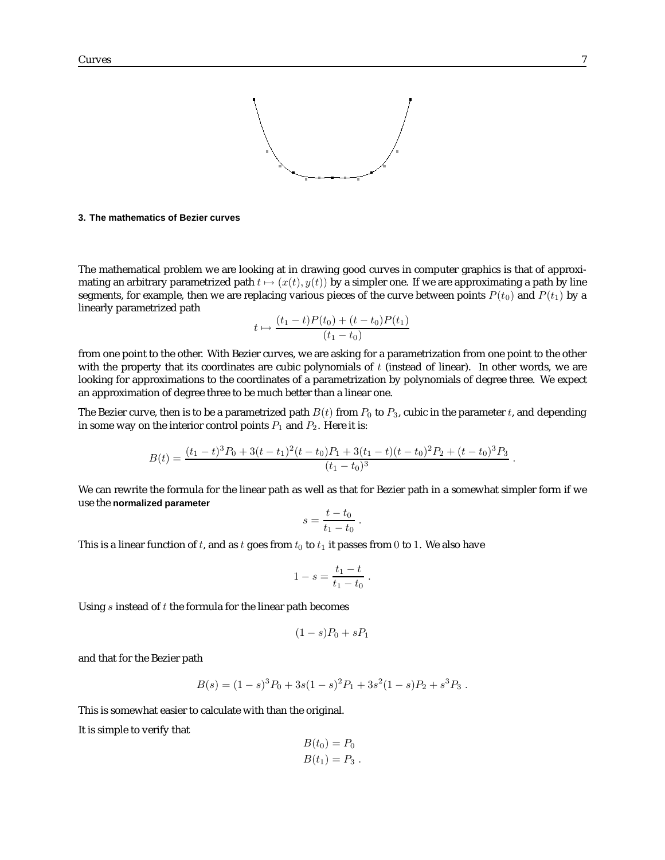

#### **3. The mathematics of Bezier curves**

The mathematical problem we are looking at in drawing good curves in computer graphics is that of approximating an arbitrary parametrized path  $t \mapsto (x(t), y(t))$  by a simpler one. If we are approximating a path by line segments, for example, then we are replacing various pieces of the curve between points  $P(t_0)$  and  $P(t_1)$  by a linearly parametrized path

$$
t \mapsto \frac{(t_1 - t)P(t_0) + (t - t_0)P(t_1)}{(t_1 - t_0)}
$$

from one point to the other. With Bezier curves, we are asking for a parametrization from one point to the other with the property that its coordinates are cubic polynomials of  $t$  (instead of linear). In other words, we are looking for approximations to the coordinates of a parametrization by polynomials of degree three. We expect an approximation of degree three to be much better than a linear one.

The Bezier curve, then is to be a parametrized path  $B(t)$  from  $P_0$  to  $P_3$ , cubic in the parameter t, and depending in some way on the interior control points  $P_1$  and  $P_2$ . Here it is:

$$
B(t) = \frac{(t_1 - t)^3 P_0 + 3(t - t_1)^2 (t - t_0) P_1 + 3(t_1 - t) (t - t_0)^2 P_2 + (t - t_0)^3 P_3}{(t_1 - t_0)^3}.
$$

We can rewrite the formula for the linear path as well as that for Bezier path in a somewhat simpler form if we use the **normalized parameter**

$$
s = \frac{t - t_0}{t_1 - t_0}
$$

.

This is a linear function of t, and as t goes from  $t_0$  to  $t_1$  it passes from 0 to 1. We also have

$$
1 - s = \frac{t_1 - t}{t_1 - t_0} \; .
$$

Using  $s$  instead of  $t$  the formula for the linear path becomes

$$
(1-s)P_0 + sP_1
$$

and that for the Bezier path

$$
B(s) = (1 - s)3P0 + 3s(1 - s)2P1 + 3s2(1 - s)P2 + s3P3.
$$

This is somewhat easier to calculate with than the original.

It is simple to verify that

$$
B(t_0) = P_0
$$
  

$$
B(t_1) = P_3.
$$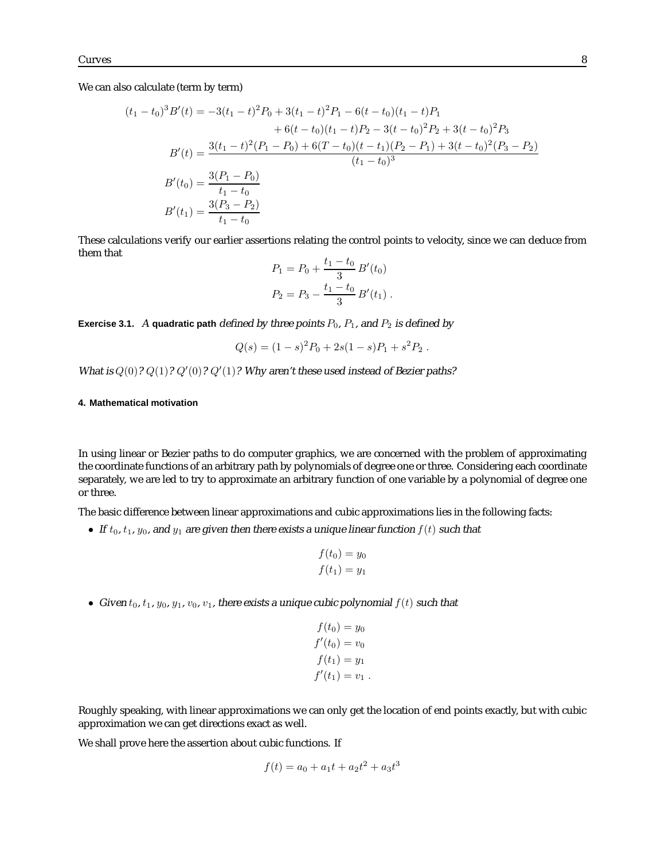We can also calculate (term by term)

$$
(t_1 - t_0)^3 B'(t) = -3(t_1 - t)^2 P_0 + 3(t_1 - t)^2 P_1 - 6(t - t_0)(t_1 - t) P_1
$$
  
+ 6(t - t\_0)(t\_1 - t) P\_2 - 3(t - t\_0)^2 P\_2 + 3(t - t\_0)^2 P\_3  

$$
B'(t) = \frac{3(t_1 - t)^2 (P_1 - P_0) + 6(T - t_0)(t - t_1)(P_2 - P_1) + 3(t - t_0)^2 (P_3 - P_2)}{(t_1 - t_0)^3}
$$
  

$$
B'(t_0) = \frac{3(P_1 - P_0)}{t_1 - t_0}
$$
  

$$
B'(t_1) = \frac{3(P_3 - P_2)}{t_1 - t_0}
$$

These calculations verify our earlier assertions relating the control points to velocity, since we can deduce from them that

$$
P_1 = P_0 + \frac{t_1 - t_0}{3} B'(t_0)
$$
  

$$
P_2 = P_3 - \frac{t_1 - t_0}{3} B'(t_1).
$$

**Exercise 3.1.** A **quadratic path** defined by three points  $P_0$ ,  $P_1$ , and  $P_2$  is defined by

$$
Q(s) = (1 - s)^2 P_0 + 2s(1 - s)P_1 + s^2 P_2.
$$

What is  $Q(0)$ ?  $Q(1)$ ?  $Q'(0)$ ?  $Q'(1)$ ? Why aren't these used instead of Bezier paths?

### **4. Mathematical motivation**

In using linear or Bezier paths to do computer graphics, we are concerned with the problem of approximating the coordinate functions of an arbitrary path by polynomials of degree one or three. Considering each coordinate separately, we are led to try to approximate an arbitrary function of one variable by a polynomial of degree one or three.

The basic difference between linear approximations and cubic approximations lies in the following facts:

• If  $t_0$ ,  $t_1$ ,  $y_0$ , and  $y_1$  are given then there exists a unique linear function  $f(t)$  such that

$$
f(t_0) = y_0
$$
  

$$
f(t_1) = y_1
$$

• Given  $t_0$ ,  $t_1$ ,  $y_0$ ,  $y_1$ ,  $v_0$ ,  $v_1$ , there exists a unique cubic polynomial  $f(t)$  such that

$$
f(t0) = y0
$$
  

$$
f'(t0) = v0
$$
  

$$
f(t1) = y1
$$
  

$$
f'(t1) = v1
$$
.

Roughly speaking, with linear approximations we can only get the location of end points exactly, but with cubic approximation we can get directions exact as well.

We shall prove here the assertion about cubic functions. If

$$
f(t) = a_0 + a_1t + a_2t^2 + a_3t^3
$$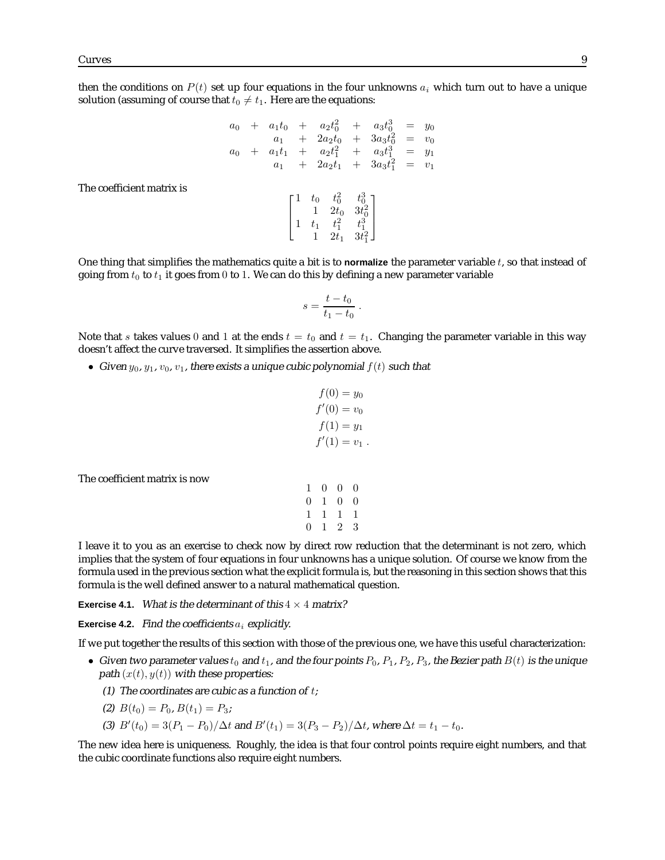The coefficient matrix is

then the conditions on  $P(t)$  set up four equations in the four unknowns  $a_i$  which turn out to have a unique solution (assuming of course that  $t_0 \neq t_1$ . Here are the equations:

$$
a_0 + a_1t_0 + a_2t_0^2 + a_3t_0^3 = y_0
$$
  
\n
$$
a_1 + 2a_2t_0 + 3a_3t_0^2 = v_0
$$
  
\n
$$
a_0 + a_1t_1 + a_2t_1^2 + a_3t_1^3 = y_1
$$
  
\n
$$
a_1 + 2a_2t_1 + 3a_3t_1^2 = v_1
$$
  
\n
$$
\begin{bmatrix}\n1 & t_0 & t_0^2 & t_0^3 \\
1 & 2t_0 & 3t_0^2 \\
1 & t_1 & t_1^2 & t_1^3 \\
1 & 2t_1 & 3t_1^2\n\end{bmatrix}
$$

One thing that simplifies the mathematics quite a bit is to **normalize** the parameter variable t, so that instead of going from  $t_0$  to  $t_1$  it goes from 0 to 1. We can do this by defining a new parameter variable

$$
s = \frac{t - t_0}{t_1 - t_0} \; .
$$

Note that s takes values 0 and 1 at the ends  $t = t_0$  and  $t = t_1$ . Changing the parameter variable in this way doesn't affect the curve traversed. It simplifies the assertion above.

• Given  $y_0, y_1, v_0, v_1$ , there exists a unique cubic polynomial  $f(t)$  such that

$$
f(0) = y_0
$$
  
f'(0) = v\_0  

$$
f(1) = y_1
$$
  
f'(1) = v\_1.

The coefficient matrix is now

| 1              | 0.             | $\overline{0}$  | $\theta$         |
|----------------|----------------|-----------------|------------------|
|                | 0 <sub>1</sub> | $\overline{0}$  | $\left( \right)$ |
| 1              |                | 1 1 1           |                  |
| $\overline{0}$ | $\mathbf{1}$   | $2\overline{ }$ | 3                |

I leave it to you as an exercise to check now by direct row reduction that the determinant is not zero, which implies that the system of four equations in four unknowns has a unique solution. Of course we know from the formula used in the previous section what the explicit formula is, but the reasoning in this section shows that this formula is the well defined answer to a natural mathematical question.

**Exercise 4.1.** What is the determinant of this  $4 \times 4$  matrix?

**Exercise 4.2.** Find the coefficients  $a_i$  explicitly.

If we put together the results of this section with those of the previous one, we have this useful characterization:

- Given two parameter values  $t_0$  and  $t_1$ , and the four points  $P_0$ ,  $P_1$ ,  $P_2$ ,  $P_3$ , the Bezier path  $B(t)$  is the unique path  $(x(t), y(t))$  with these properties:
	- (1) The coordinates are cubic as a function of  $t$ ;
	- (2)  $B(t_0) = P_0, B(t_1) = P_3;$
	- (3)  $B'(t_0) = 3(P_1 P_0)/\Delta t$  and  $B'(t_1) = 3(P_3 P_2)/\Delta t$ , where  $\Delta t = t_1 t_0$ .

The new idea here is uniqueness. Roughly, the idea is that four control points require eight numbers, and that the cubic coordinate functions also require eight numbers.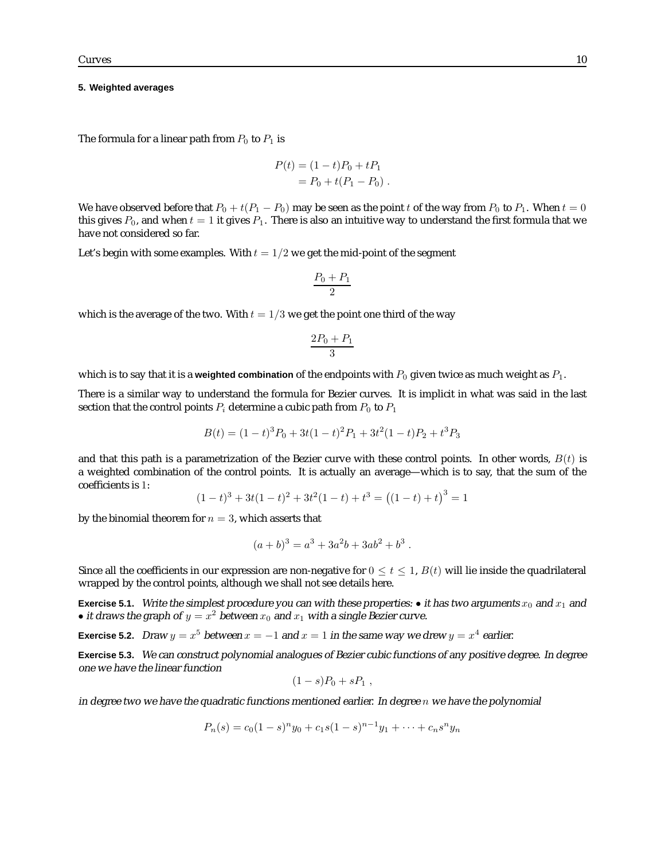#### **5. Weighted averages**

The formula for a linear path from  $P_0$  to  $P_1$  is

$$
P(t) = (1 - t)P_0 + tP_1
$$
  
= P\_0 + t(P\_1 - P\_0).

We have observed before that  $P_0 + t(P_1 - P_0)$  may be seen as the point t of the way from  $P_0$  to  $P_1$ . When  $t = 0$ this gives  $P_0$ , and when  $t = 1$  it gives  $P_1$ . There is also an intuitive way to understand the first formula that we have not considered so far.

Let's begin with some examples. With  $t = 1/2$  we get the mid-point of the segment

$$
\frac{P_0 + P_1}{2}
$$

which is the average of the two. With  $t = 1/3$  we get the point one third of the way

$$
\frac{2P_0+P_1}{3}
$$

which is to say that it is a **weighted combination** of the endpoints with  $P_0$  given twice as much weight as  $P_1$ .

There is a similar way to understand the formula for Bezier curves. It is implicit in what was said in the last section that the control points  $P_i$  determine a cubic path from  $P_0$  to  $P_1$ 

$$
B(t) = (1-t)^3 P_0 + 3t(1-t)^2 P_1 + 3t^2(1-t)P_2 + t^3 P_3
$$

and that this path is a parametrization of the Bezier curve with these control points. In other words,  $B(t)$  is a weighted combination of the control points. It is actually an average—which is to say, that the sum of the coefficients is 1:

$$
(1-t)^3 + 3t(1-t)^2 + 3t^2(1-t) + t^3 = ((1-t) + t)^3 = 1
$$

by the binomial theorem for  $n = 3$ , which asserts that

$$
(a+b)^3 = a^3 + 3a^2b + 3ab^2 + b^3.
$$

Since all the coefficients in our expression are non-negative for  $0 \lt t \lt 1$ ,  $B(t)$  will lie inside the quadrilateral wrapped by the control points, although we shall not see details here.

**Exercise 5.1.** Write the simplest procedure you can with these properties:  $\bullet$  it has two arguments  $x_0$  and  $x_1$  and • it draws the graph of  $y = x^2$  between  $x_0$  and  $x_1$  with a single Bezier curve.

**Exercise 5.2.** Draw  $y = x^5$  between  $x = -1$  and  $x = 1$  in the same way we drew  $y = x^4$  earlier.

**Exercise 5.3.** We can construct polynomial analogues of Bezier cubic functions of any positive degree. In degree one we have the linear function

$$
(1-s)P_0 + sP_1,
$$

in degree two we have the quadratic functions mentioned earlier. In degree  $n$  we have the polynomial

$$
P_n(s) = c_0(1-s)^n y_0 + c_1 s(1-s)^{n-1} y_1 + \dots + c_n s^n y_n
$$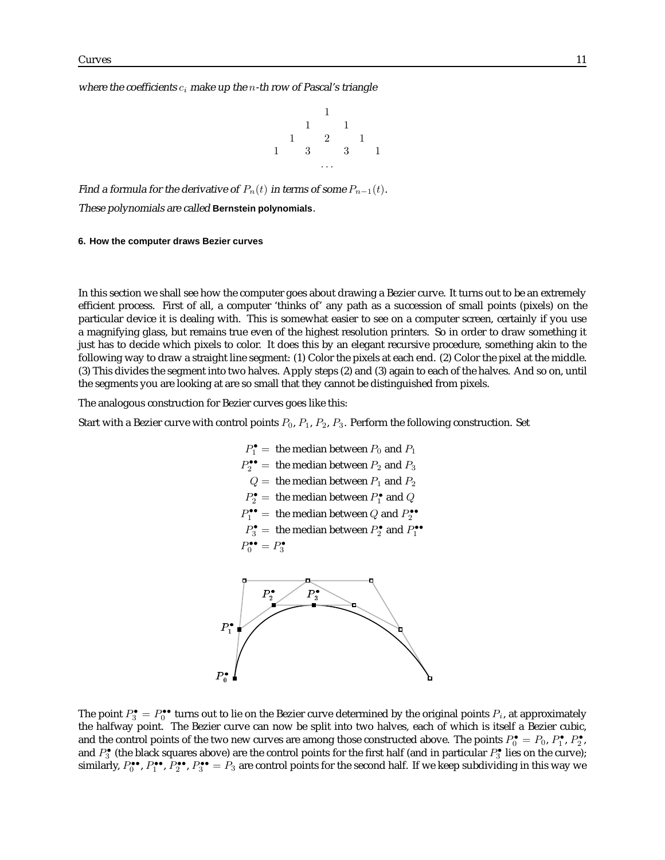where the coefficients  $c_i$  make up the n-th row of Pascal's triangle



Find a formula for the derivative of  $P_n(t)$  in terms of some  $P_{n-1}(t)$ .

These polynomials are called **Bernstein polynomials**.

### **6. How the computer draws Bezier curves**

In this section we shall see how the computer goes about drawing a Bezier curve. It turns out to be an extremely efficient process. First of all, a computer 'thinks of' any path as a succession of small points (pixels) on the particular device it is dealing with. This is somewhat easier to see on a computer screen, certainly if you use a magnifying glass, but remains true even of the highest resolution printers. So in order to draw something it just has to decide which pixels to color. It does this by an elegant recursive procedure, something akin to the following way to draw a straight line segment: (1) Color the pixels at each end. (2) Color the pixel at the middle. (3) This divides the segment into two halves. Apply steps (2) and (3) again to each of the halves. And so on, until the segments you are looking at are so small that they cannot be distinguished from pixels.

The analogous construction for Bezier curves goes like this:

Start with a Bezier curve with control points  $P_0$ ,  $P_1$ ,  $P_2$ ,  $P_3$ . Perform the following construction. Set

$$
P_1^{\bullet} = \text{ the median between } P_0 \text{ and } P_1
$$
\n
$$
P_2^{\bullet \bullet} = \text{ the median between } P_2 \text{ and } P_3
$$
\n
$$
Q = \text{ the median between } P_1 \text{ and } P_2
$$
\n
$$
P_2^{\bullet} = \text{ the median between } P_1^{\bullet} \text{ and } Q
$$
\n
$$
P_1^{\bullet \bullet} = \text{ the median between } Q \text{ and } P_2^{\bullet \bullet}
$$
\n
$$
P_3^{\bullet \bullet} = P_3^{\bullet}
$$



The point  $P_3^{\bullet}=P_0^{\bullet\bullet}$  turns out to lie on the Bezier curve determined by the original points  $P_i$ , at approximately the halfway point. The Bezier curve can now be split into two halves, each of which is itself a Bezier cubic, and the control points of the two new curves are among those constructed above. The points  $P_0^{\bullet} = P_0$ ,  $P_1^{\bullet}$ ,  $P_2^{\bullet}$ , and  $P_3^{\bullet}$  (the black squares above) are the control points for the first half (and in particular  $P_3^{\bullet}$  lies on the curve); similarly,  $P_0^{\bullet\bullet}$ ,  $P_1^{\bullet\bullet}$ ,  $P_2^{\bullet\bullet}$ ,  $P_3^{\bullet\bullet} = P_3$  are control points for the second half. If we keep subdividing in this way we